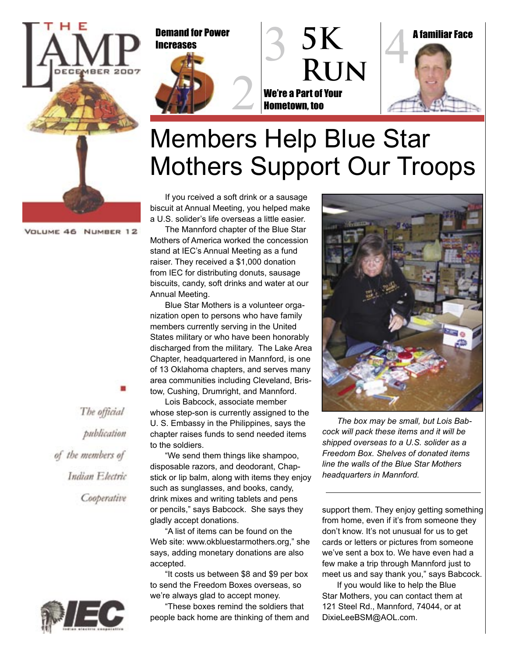





## Members Help Blue Star Mothers Support Our Troops

VOLUME 46 NUMBER 12

If you rceived a soft drink or a sausage biscuit at Annual Meeting, you helped make a U.S. solider's life overseas a little easier.

The Mannford chapter of the Blue Star Mothers of America worked the concession stand at IEC's Annual Meeting as a fund raiser. They received a \$1,000 donation from IEC for distributing donuts, sausage biscuits, candy, soft drinks and water at our Annual Meeting.

Blue Star Mothers is a volunteer organization open to persons who have family members currently serving in the United States military or who have been honorably discharged from the military. The Lake Area Chapter, headquartered in Mannford, is one of 13 Oklahoma chapters, and serves many area communities including Cleveland, Bristow, Cushing, Drumright, and Mannford.

Lois Babcock, associate member whose step-son is currently assigned to the U. S. Embassy in the Philippines, says the chapter raises funds to send needed items to the soldiers.

"We send them things like shampoo, disposable razors, and deodorant, Chapstick or lip balm, along with items they enjoy such as sunglasses, and books, candy, drink mixes and writing tablets and pens or pencils," says Babcock. She says they gladly accept donations.

"A list of items can be found on the Web site: www.okbluestarmothers.org," she says, adding monetary donations are also accepted.

"It costs us between \$8 and \$9 per box to send the Freedom Boxes overseas, so we're always glad to accept money.

"These boxes remind the soldiers that people back home are thinking of them and



*The box may be small, but Lois Babcock will pack these items and it will be shipped overseas to a U.S. solider as a Freedom Box. Shelves of donated items line the walls of the Blue Star Mothers headquarters in Mannford.*

support them. They enjoy getting something from home, even if it's from someone they don't know. It's not unusual for us to get cards or letters or pictures from someone we've sent a box to. We have even had a few make a trip through Mannford just to meet us and say thank you," says Babcock.

If you would like to help the Blue Star Mothers, you can contact them at 121 Steel Rd., Mannford, 74044, or at DixieLeeBSM@AOL.com.



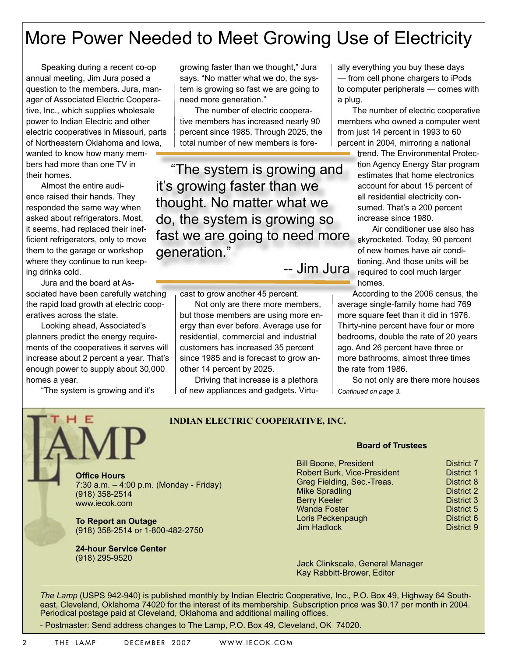## More Power Needed to Meet Growing Use of Electricity

Speaking during a recent co-op annual meeting, Jim Jura posed a question to the members. Jura, manager of Associated Electric Cooperative, Inc., which supplies wholesale power to Indian Electric and other electric cooperatives in Missouri, parts of Northeastern Oklahoma and Iowa, wanted to know how many members had more than one TV in their homes.

Almost the entire audience raised their hands. They responded the same way when asked about refrigerators. Most, it seems, had replaced their inefficient refrigerators, only to move them to the garage or workshop where they continue to run keeping drinks cold.

Jura and the board at As-

sociated have been carefully watching the rapid load growth at electric cooperatives across the state.

Looking ahead, Associated's planners predict the energy requirements of the cooperatives it serves will increase about 2 percent a year. That's enough power to supply about 30,000 homes a year.

"The system is growing and it's

growing faster than we thought," Jura says. "No matter what we do, the system is growing so fast we are going to need more generation."

The number of electric cooperative members has increased nearly 90 percent since 1985. Through 2025, the total number of new members is fore-

"The system is growing and it's growing faster than we thought. No matter what we do, the system is growing so fast we are going to need more generation."

-- Jim Jura

cast to grow another 45 percent.

Not only are there more members, but those members are using more energy than ever before. Average use for residential, commercial and industrial customers has increased 35 percent since 1985 and is forecast to grow another 14 percent by 2025.

Driving that increase is a plethora of new appliances and gadgets. Virtu-

ally everything you buy these days — from cell phone chargers to iPods to computer peripherals — comes with a plug.

The number of electric cooperative members who owned a computer went from just 14 percent in 1993 to 60 percent in 2004, mirroring a national

> trend. The Environmental Protection Agency Energy Star program estimates that home electronics account for about 15 percent of all residential electricity consumed. That's a 200 percent increase since 1980.

Air conditioner use also has skyrocketed. Today, 90 percent of new homes have air conditioning. And those units will be required to cool much larger homes.

According to the 2006 census, the average single-family home had 769 more square feet than it did in 1976. Thirty-nine percent have four or more bedrooms, double the rate of 20 years ago. And 26 percent have three or more bathrooms, almost three times the rate from 1986.

So not only are there more houses *Continued on page 3.*

> **District 7** District 1 District 8 District 2 **District 3** District 5 District 6 District 9

**INDIAN ELECTRIC COOPERATIVE, INC.**

**Offi ce Hours** 7:30 a.m. – 4:00 p.m. (Monday - Friday) (918) 358-2514 www.iecok.com

**To Report an Outage** (918) 358-2514 or 1-800-482-2750

**24-hour Service Center**  (918) 295-9520

#### **Board of Trustees**

| <b>Bill Boone, President</b>       |  |
|------------------------------------|--|
| <b>Robert Burk, Vice-President</b> |  |
| Greg Fielding, Sec.-Treas.         |  |
| <b>Mike Spradling</b>              |  |
| <b>Berry Keeler</b>                |  |
| <b>Wanda Foster</b>                |  |
| Loris Peckenpaugh                  |  |
| <b>Jim Hadlock</b>                 |  |

Jack Clinkscale, General Manager Kay Rabbitt-Brower, Editor

*The Lamp* (USPS 942-940) is published monthly by Indian Electric Cooperative, Inc., P.O. Box 49, Highway 64 Southeast, Cleveland, Oklahoma 74020 for the interest of its membership. Subscription price was \$0.17 per month in 2004. Periodical postage paid at Cleveland, Oklahoma and additional mailing offices.

- Postmaster: Send address changes to The Lamp, P.O. Box 49, Cleveland, OK 74020.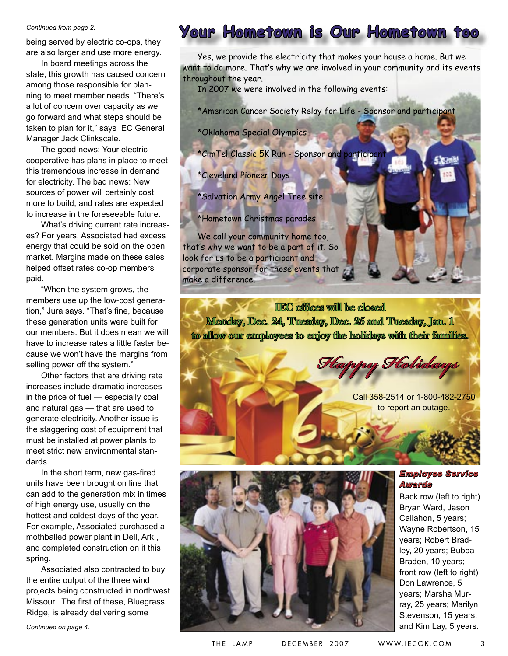#### *Continued from page 2.*

being served by electric co-ops, they are also larger and use more energy.

In board meetings across the state, this growth has caused concern among those responsible for planning to meet member needs. "There's a lot of concern over capacity as we go forward and what steps should be taken to plan for it," says IEC General Manager Jack Clinkscale.

The good news: Your electric cooperative has plans in place to meet this tremendous increase in demand for electricity. The bad news: New sources of power will certainly cost more to build, and rates are expected to increase in the foreseeable future.

What's driving current rate increases? For years, Associated had excess energy that could be sold on the open market. Margins made on these sales helped offset rates co-op members paid.

"When the system grows, the members use up the low-cost generation," Jura says. "That's fine, because these generation units were built for our members. But it does mean we will have to increase rates a little faster because we won't have the margins from selling power off the system."

Other factors that are driving rate increases include dramatic increases in the price of fuel — especially coal and natural gas — that are used to generate electricity. Another issue is the staggering cost of equipment that must be installed at power plants to meet strict new environmental standards.

In the short term, new gas-fired units have been brought on line that can add to the generation mix in times of high energy use, usually on the hottest and coldest days of the year. For example, Associated purchased a mothballed power plant in Dell, Ark., and completed construction on it this spring.

Associated also contracted to buy the entire output of the three wind projects being constructed in northwest Missouri. The first of these, Bluegrass Ridge, is already delivering some

### **Your Hometown is Our Hometown too**

Yes, we provide the electricity that makes your house a home. But we want to do more. That's why we are involved in your community and its events throughout the year.

In 2007 we were involved in the following events:

\*American Cancer Society Relay for Life - Sponsor and participant

\*Oklahoma Special Olympics

\*CimTel Classic 5K Run - Sponsor and participan

\*Cleveland Pioneer Days

\*Salvation Army Angel Tree site

\*Hometown Christmas parades

We call your community home too, that's why we want to be a part of it. So look for us to be a participant and corporate sponsor for those events that make a difference.

IEC offices will be closed Monday, Dec. 24, Tuesday, Dec. 25 and Tuesday, Jan. 1 to allow our employees to enjoy the holidays with their families.

**Happy Holidays**

Call 358-2514 or 1-800-482-2750 to report an outage.



### *Employee Service Awards*

Back row (left to right) Bryan Ward, Jason Callahon, 5 years; Wayne Robertson, 15 years; Robert Bradley, 20 years; Bubba Braden, 10 years; front row (left to right) Don Lawrence, 5 years; Marsha Murray, 25 years; Marilyn Stevenson, 15 years; and Kim Lay, 5 years.

*Continued on page 4.*